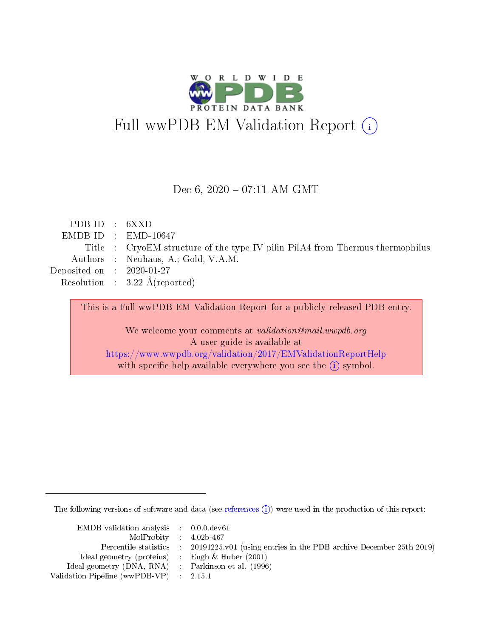

#### Dec  $6, 2020 - 07:11$  AM GMT

| PDB ID : $6XXD$             |                                                                               |
|-----------------------------|-------------------------------------------------------------------------------|
|                             | $EMDB ID$ : $EMD-10647$                                                       |
|                             | Title : CryoEM structure of the type IV pilin PilA4 from Thermus thermophilus |
|                             | Authors : Neuhaus, A.; Gold, V.A.M.                                           |
| Deposited on : $2020-01-27$ |                                                                               |
|                             | Resolution : $3.22 \text{ Å}$ (reported)                                      |
|                             |                                                                               |

This is a Full wwPDB EM Validation Report for a publicly released PDB entry. We welcome your comments at validation@mail.wwpdb.org A user guide is available at <https://www.wwpdb.org/validation/2017/EMValidationReportHelp> with specific help available everywhere you see the  $(i)$  symbol.

The following versions of software and data (see [references](https://www.wwpdb.org/validation/2017/EMValidationReportHelp#references)  $\hat{I}$ ) were used in the production of this report:

| EMDB validation analysis : 0.0.0. dev61             |                                                                              |
|-----------------------------------------------------|------------------------------------------------------------------------------|
| $MolProbability$ 4.02b-467                          |                                                                              |
| Percentile statistics :                             | $20191225 \text{ v}01$ (using entries in the PDB archive December 25th 2019) |
| Ideal geometry (proteins) :                         | Engh $\&$ Huber (2001)                                                       |
| Ideal geometry (DNA, RNA) : Parkinson et al. (1996) |                                                                              |
| Validation Pipeline (wwPDB-VP) : 2.15.1             |                                                                              |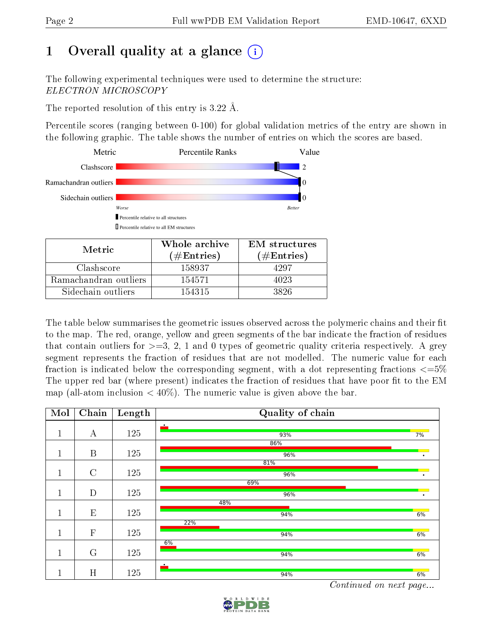# 1 [O](https://www.wwpdb.org/validation/2017/EMValidationReportHelp#overall_quality)verall quality at a glance  $(i)$

The following experimental techniques were used to determine the structure: ELECTRON MICROSCOPY

The reported resolution of this entry is 3.22 Å.

Percentile scores (ranging between 0-100) for global validation metrics of the entry are shown in the following graphic. The table shows the number of entries on which the scores are based.



| Metric.               | Whole archive<br>$(\#\text{Entries})$ | <b>EM</b> structures<br>$(\#Entries)$ |
|-----------------------|---------------------------------------|---------------------------------------|
| Clashscore            | 158937                                | 4297                                  |
| Ramachandran outliers | 154571                                | 4023                                  |
| Sidechain outliers    | 154315                                | 3826                                  |

The table below summarises the geometric issues observed across the polymeric chains and their fit to the map. The red, orange, yellow and green segments of the bar indicate the fraction of residues that contain outliers for  $\geq=3$ , 2, 1 and 0 types of geometric quality criteria respectively. A grey segment represents the fraction of residues that are not modelled. The numeric value for each fraction is indicated below the corresponding segment, with a dot representing fractions  $\epsilon = 5\%$ The upper red bar (where present) indicates the fraction of residues that have poor fit to the EM map (all-atom inclusion  $\langle 40\% \rangle$ ). The numeric value is given above the bar.

| Mol     | Chain            | Length | Quality of chain                                                                                    |    |
|---------|------------------|--------|-----------------------------------------------------------------------------------------------------|----|
| 1.<br>T | А                | 125    | $\bullet$<br>93%                                                                                    | 7% |
| T.      | $\boldsymbol{B}$ | 125    | 86%<br>96%                                                                                          |    |
| 1<br>T  | $\mathcal{C}$    | 125    | 81%<br>96%                                                                                          |    |
| 1<br>T  | D                | 125    | 69%<br>96%                                                                                          |    |
| 1<br>T. | E                | 125    | 48%<br>94%                                                                                          | 6% |
| 1       | $\overline{F}$   | 125    | 22%<br>94%                                                                                          | 6% |
| 1       | $\mathcal G$     | 125    | 6%<br>94%                                                                                           | 6% |
| 1<br>┻  | H                | 125    | $\bullet$<br>94%<br><b>Contract Contract Contract Contract</b><br><b>Contract Contract Contract</b> | 6% |

Continued on next page...

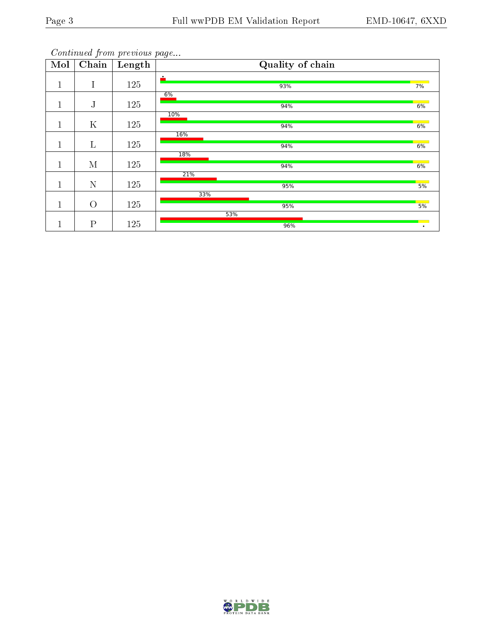Continued from previous page...

| Mol          | Chain          | Length | Quality of chain |    |
|--------------|----------------|--------|------------------|----|
| $\mathbf{1}$ | T              | 125    | $\bullet$<br>93% | 7% |
| $\mathbf 1$  | ${\bf J}$      | 125    | 6%<br>94%        | 6% |
| $\mathbf 1$  | $\mathbf K$    | 125    | 10%<br>94%       | 6% |
| $\mathbf{1}$ | $\Gamma$       | 125    | 16%<br>94%       | 6% |
| 1<br>$\perp$ | M              | 125    | 18%<br>94%       | 6% |
| 1<br>T       | N              | 125    | 21%<br>95%       | 5% |
| $\mathbf{1}$ | $\overline{O}$ | 125    | 33%<br>95%       | 5% |
| п            | $\mathbf P$    | 125    | 53%<br>96%       |    |

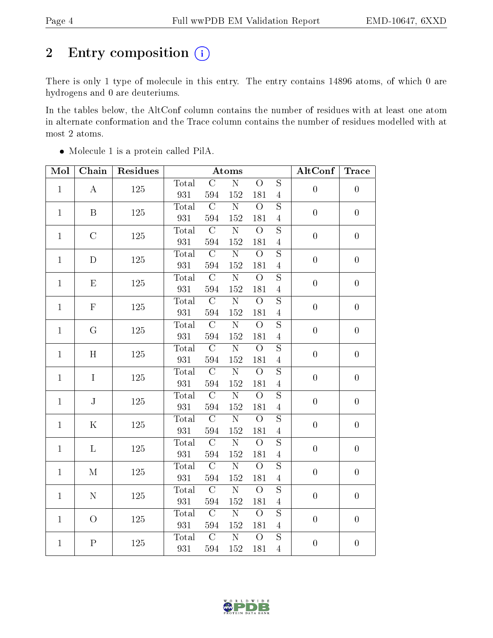# 2 Entry composition (i)

There is only 1 type of molecule in this entry. The entry contains 14896 atoms, of which 0 are hydrogens and 0 are deuteriums.

In the tables below, the AltConf column contains the number of residues with at least one atom in alternate conformation and the Trace column contains the number of residues modelled with at most 2 atoms.

| Mol          | Chain          | Residues    | <b>Atoms</b> |                |                       |                       | AltConf                 | <b>Trace</b>     |                  |                |           |                |   |                |                  |
|--------------|----------------|-------------|--------------|----------------|-----------------------|-----------------------|-------------------------|------------------|------------------|----------------|-----------|----------------|---|----------------|------------------|
| $\mathbf{1}$ | $\bf{A}$       | 125         | Total        | $\mathcal{C}$  | $\overline{\text{N}}$ | $\overline{O}$        | $\overline{S}$          | $\overline{0}$   | $\boldsymbol{0}$ |                |           |                |   |                |                  |
|              |                |             | 931          | 594            | 152                   | 181                   | $\overline{4}$          |                  |                  |                |           |                |   |                |                  |
| $\mathbf{1}$ | $\, {\bf B}$   | 125         | Total        | $\overline{C}$ | $\overline{\text{N}}$ | $\overline{O}$        | $\overline{S}$          | $\boldsymbol{0}$ | $\boldsymbol{0}$ |                |           |                |   |                |                  |
|              |                |             | 931          | 594            | 152                   | 181                   | $\overline{4}$          |                  |                  |                |           |                |   |                |                  |
| $\mathbf{1}$ | $\overline{C}$ | $125\,$     | Total        | $\overline{C}$ | $\overline{\rm N}$    | $\overline{O}$        | $\overline{S}$          | $\overline{0}$   | $\boldsymbol{0}$ |                |           |                |   |                |                  |
|              |                |             | 931          | 594            | 152                   | 181                   | $\overline{4}$          |                  |                  |                |           |                |   |                |                  |
| $\mathbf{1}$ | $\mathbf D$    | 125         | Total        | $\overline{C}$ | $\overline{\rm N}$    | $\overline{O}$        | $\overline{S}$          | $\boldsymbol{0}$ | $\boldsymbol{0}$ |                |           |                |   |                |                  |
|              |                |             | 931          | 594            | 152                   | 181                   | $\overline{4}$          |                  |                  |                |           |                |   |                |                  |
| $\mathbf{1}$ | E              | 125         | Total        | $\overline{C}$ | $\overline{\text{N}}$ | $\overline{O}$        | $\overline{S}$          | $\overline{0}$   | $\overline{0}$   |                |           |                |   |                |                  |
|              |                |             | 931          | 594            | 152                   | 181                   | $\overline{4}$          |                  |                  |                |           |                |   |                |                  |
| $\mathbf{1}$ | $\mathbf F$    | 125         | Total        | $\overline{C}$ | $\overline{\text{N}}$ | $\overline{O}$        | $\overline{\mathrm{s}}$ | $\boldsymbol{0}$ | $\boldsymbol{0}$ |                |           |                |   |                |                  |
|              |                |             | 931          | 594            | 152                   | 181                   | $\overline{4}$          |                  |                  |                |           |                |   |                |                  |
| $\mathbf{1}$ | G              | 125         | Total        | $\overline{C}$ | $\overline{\text{N}}$ | $\overline{O}$        | $\overline{S}$          | $\overline{0}$   | $\boldsymbol{0}$ |                |           |                |   |                |                  |
|              |                |             | 931          | 594            | 152                   | 181                   | $\overline{4}$          |                  |                  |                |           |                |   |                |                  |
| $\mathbf{1}$ |                |             |              |                |                       |                       | H                       | 125              | Total            | $\mathcal{C}$  | ${\bf N}$ | $\overline{O}$ | S | $\overline{0}$ | $\boldsymbol{0}$ |
|              |                |             | 931          | 594            | 152                   | 181                   | $\overline{4}$          |                  |                  |                |           |                |   |                |                  |
| $\mathbf{1}$ | $\mathbf I$    | 125         | Total        | $\mathcal{C}$  | ${\bf N}$             | $\overline{O}$        | $\overline{S}$          | $\overline{0}$   | $\boldsymbol{0}$ |                |           |                |   |                |                  |
|              |                |             |              | 931            | 594                   | 152                   | 181                     | $\overline{4}$   |                  |                |           |                |   |                |                  |
| $\mathbf{1}$ |                | $\mathbf J$ | 125          | Total          | $\overline{C}$        | $\overline{\text{N}}$ | $\overline{O}$          | $\overline{S}$   | $\overline{0}$   | $\overline{0}$ |           |                |   |                |                  |
|              |                |             | 931          | 594            | 152                   | 181                   | $\overline{4}$          |                  |                  |                |           |                |   |                |                  |
| $\mathbf{1}$ | ${\bf K}$      | 125         | Total        | $\overline{C}$ | $\overline{N}$        | $\overline{O}$        | $\overline{S}$          | $\overline{0}$   | $\boldsymbol{0}$ |                |           |                |   |                |                  |
|              |                |             | 931          | 594            | 152                   | 181                   | $\overline{4}$          |                  |                  |                |           |                |   |                |                  |
| $\mathbf{1}$ | $\Gamma$       | 125         | Total        | $\overline{C}$ | $\overline{\rm N}$    | $\overline{O}$        | $\overline{S}$          | $\boldsymbol{0}$ | $\boldsymbol{0}$ |                |           |                |   |                |                  |
|              |                |             | 931          | 594            | 152                   | 181                   | $\overline{4}$          |                  |                  |                |           |                |   |                |                  |
| $\mathbf{1}$ | M              | 125         | Total        | $\overline{C}$ | $\overline{\text{N}}$ | $\overline{O}$        | $\overline{S}$          | $\overline{0}$   | $\overline{0}$   |                |           |                |   |                |                  |
|              |                |             | 931          | 594            | 152                   | 181                   | $\overline{4}$          |                  |                  |                |           |                |   |                |                  |
| $\mathbf{1}$ | ${\bf N}$      | 125         | Total        | $\overline{C}$ | $\overline{\rm N}$    | $\overline{O}$        | $\overline{S}$          | $\boldsymbol{0}$ | $\boldsymbol{0}$ |                |           |                |   |                |                  |
|              |                |             | 931          | 594            | 152                   | 181                   | $\overline{4}$          |                  |                  |                |           |                |   |                |                  |
| $\mathbf{1}$ | $\overline{O}$ | 125         | Total        | $\overline{C}$ | $\overline{\rm N}$    | $\Omega$              | $\overline{\mathrm{s}}$ | $\overline{0}$   | $\boldsymbol{0}$ |                |           |                |   |                |                  |
|              |                |             | 931          | 594            | 152                   | 181                   | $\overline{4}$          |                  |                  |                |           |                |   |                |                  |
| $\mathbf{1}$ | ${\bf P}$      | 125         | Total        | $\mathcal{C}$  | $\overline{\text{N}}$ | $\overline{O}$        | $\overline{S}$          | $\boldsymbol{0}$ | $\overline{0}$   |                |           |                |   |                |                  |
|              |                |             | 931          | 594            | 152                   | 181                   | $\overline{4}$          |                  |                  |                |           |                |   |                |                  |

Molecule 1 is a protein called PilA.

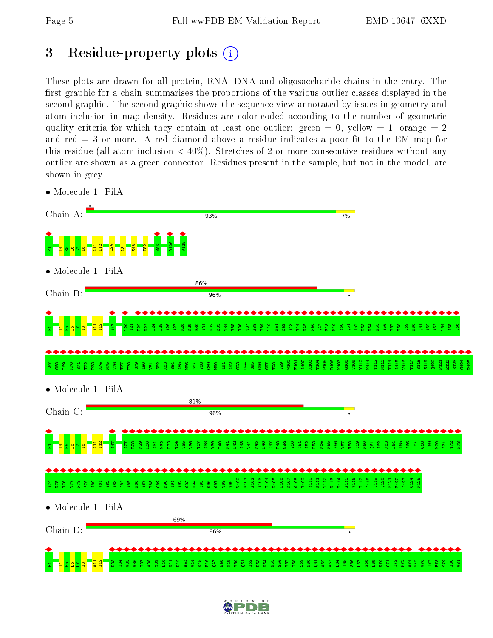# <span id="page-4-0"></span>3 Residue-property plots  $(i)$

These plots are drawn for all protein, RNA, DNA and oligosaccharide chains in the entry. The first graphic for a chain summarises the proportions of the various outlier classes displayed in the second graphic. The second graphic shows the sequence view annotated by issues in geometry and atom inclusion in map density. Residues are color-coded according to the number of geometric quality criteria for which they contain at least one outlier: green  $= 0$ , yellow  $= 1$ , orange  $= 2$ and red  $=$  3 or more. A red diamond above a residue indicates a poor fit to the EM map for this residue (all-atom inclusion  $\lt 40\%$ ). Stretches of 2 or more consecutive residues without any outlier are shown as a green connector. Residues present in the sample, but not in the model, are shown in grey.

• Molecule 1: PilA



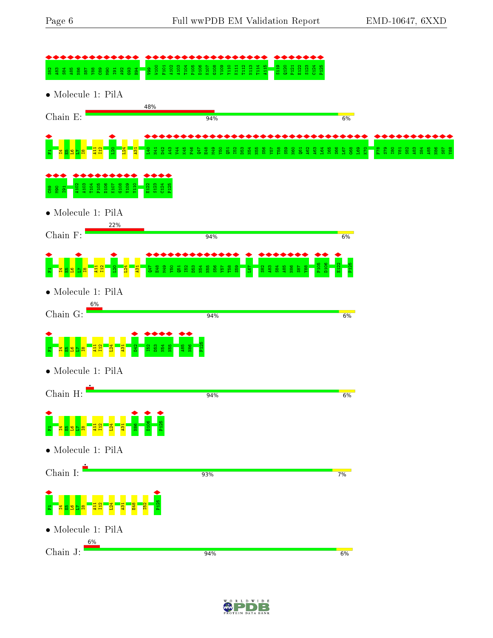

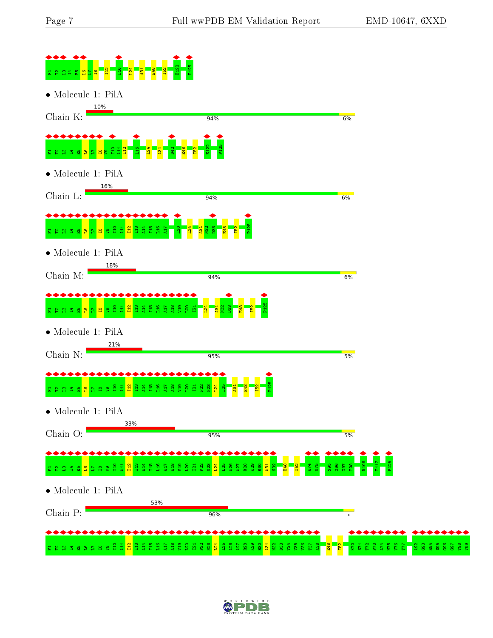

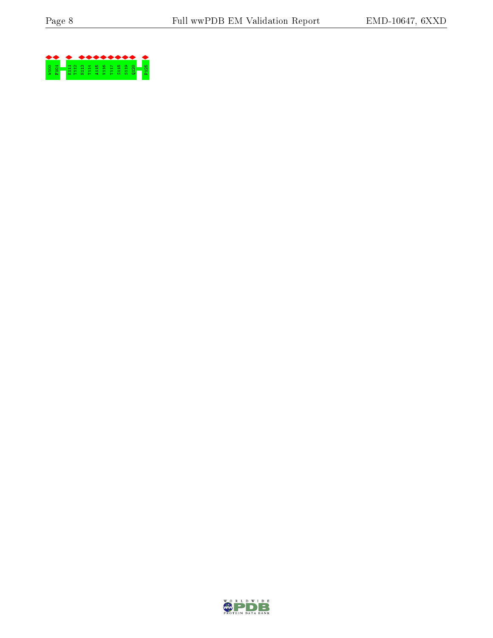

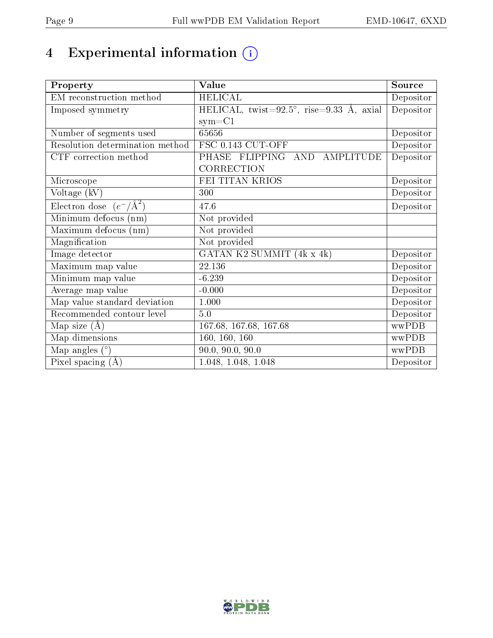# 4 Experimental information (i)

| Property                           | Value                                            | Source    |
|------------------------------------|--------------------------------------------------|-----------|
| EM reconstruction method           | <b>HELICAL</b>                                   | Depositor |
| Imposed symmetry                   | HELICAL, twist=92.5°, rise=9.33 Å, axial         | Depositor |
|                                    | $sym = C1$                                       |           |
| Number of segments used            | 65656                                            | Depositor |
| Resolution determination method    | FSC 0.143 CUT-OFF                                | Depositor |
| CTF correction method              | <b>FLIPPING</b><br>AND AMPLITUDE<br><b>PHASE</b> | Depositor |
|                                    | CORRECTION                                       |           |
| Microscope                         | FEI TITAN KRIOS                                  | Depositor |
| Voltage (kV)                       | 300                                              | Depositor |
| Electron dose $(e^-/\text{\AA}^2)$ | 47.6                                             | Depositor |
| Minimum defocus (nm)               | Not provided                                     |           |
| Maximum defocus (nm)               | Not provided                                     |           |
| Magnification                      | Not provided                                     |           |
| Image detector                     | GATAN K2 SUMMIT (4k x 4k)                        | Depositor |
| Maximum map value                  | 22.136                                           | Depositor |
| Minimum map value                  | $-6.239$                                         | Depositor |
| Average map value                  | $-0.000$                                         | Depositor |
| Map value standard deviation       | 1.000                                            | Depositor |
| Recommended contour level          | 5.0                                              | Depositor |
| Map size $(A)$                     | 167.68, 167.68, 167.68                           | wwPDB     |
| Map dimensions                     | 160, 160, 160                                    | wwPDB     |
| Map angles $(°)$                   | 90.0, 90.0, 90.0                                 | wwPDB     |
| Pixel spacing $(A)$                | 1.048, 1.048, 1.048                              | Depositor |

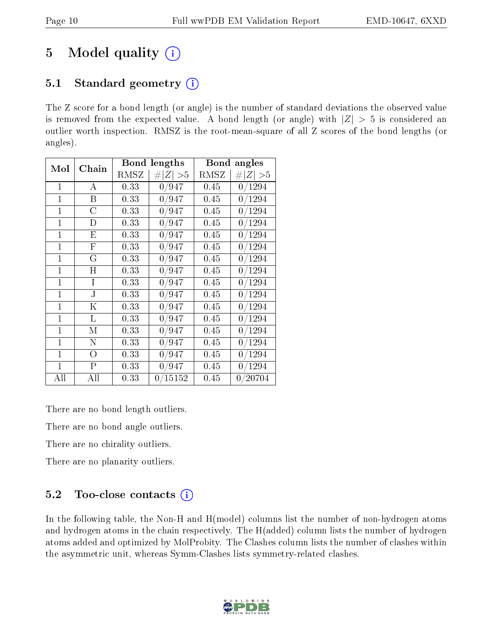# 5 Model quality  $(i)$

## 5.1 Standard geometry  $(i)$

The Z score for a bond length (or angle) is the number of standard deviations the observed value is removed from the expected value. A bond length (or angle) with  $|Z| > 5$  is considered an outlier worth inspection. RMSZ is the root-mean-square of all Z scores of the bond lengths (or angles).

| Mol            | Chain       | <b>Bond lengths</b> |             | Bond<br>angles |             |  |
|----------------|-------------|---------------------|-------------|----------------|-------------|--|
|                |             | RMSZ                | # $ Z  > 5$ | RMSZ           | # $ Z  > 5$ |  |
| $\mathbf{1}$   | A           | 0.33                | 0/947       | 0.45           | 0/1294      |  |
| 1              | Β           | 0.33                | 0/947       | 0.45           | 0/1294      |  |
| $\mathbf{1}$   | C           | 0.33                | 0/947       | 0.45           | 0/1294      |  |
| $\mathbf{1}$   | D           | 0.33                | 0/947       | 0.45           | 0/1294      |  |
| 1              | Е           | 0.33                | 0/947       | 0.45           | 0/1294      |  |
| $\mathbf{1}$   | $_{\rm F}$  | 0.33                | 0/947       | 0.45           | 0/1294      |  |
| 1              | G           | 0.33                | 0/947       | 0.45           | 0/1294      |  |
| $\overline{1}$ | $\mathbf H$ | 0.33                | 0/947       | 0.45           | 0/1294      |  |
| $\mathbf{1}$   | I           | 0.33                | 0/947       | 0.45           | 0/1294      |  |
| $\mathbf 1$    | J.          | 0.33                | 0/947       | 0.45           | 0/1294      |  |
| $\mathbf{1}$   | Κ           | 0.33                | 0/947       | 0.45           | 0/1294      |  |
| $\mathbf{1}$   | L           | 0.33                | 0/947       | 0.45           | 0/1294      |  |
| $\mathbf{1}$   | М           | 0.33                | 0/947       | 0.45           | 0/1294      |  |
| $\mathbf{1}$   | N           | 0.33                | 0/947       | 0.45           | 0/1294      |  |
| 1              | O           | 0.33                | 0/947       | 0.45           | 0/1294      |  |
| $\mathbf{1}$   | Ρ           | 0.33                | 0/947       | 0.45           | 0/1294      |  |
| All            | All         | 0.33                | 0/15152     | 0.45           | 0/20704     |  |

There are no bond length outliers.

There are no bond angle outliers.

There are no chirality outliers.

There are no planarity outliers.

#### $5.2$  Too-close contacts  $(i)$

In the following table, the Non-H and H(model) columns list the number of non-hydrogen atoms and hydrogen atoms in the chain respectively. The H(added) column lists the number of hydrogen atoms added and optimized by MolProbity. The Clashes column lists the number of clashes within the asymmetric unit, whereas Symm-Clashes lists symmetry-related clashes.

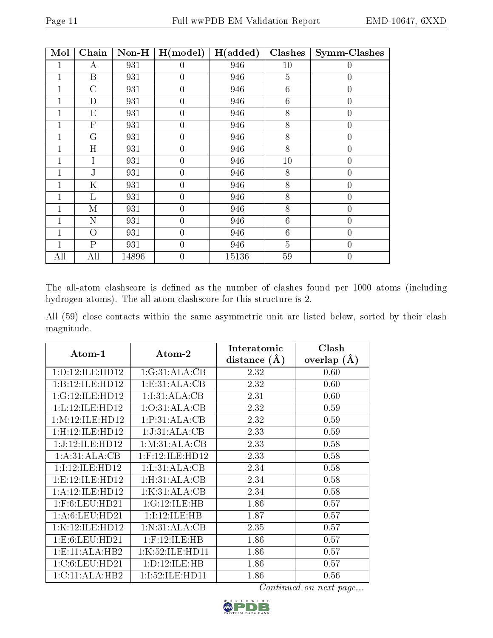| Mol          | Chain                   | $Non-H$ | H (model)        | H(added) | Clashes         | <b>Symm-Clashes</b> |
|--------------|-------------------------|---------|------------------|----------|-----------------|---------------------|
| 1            | А                       | 931     | $\theta$         | 946      | 10              | $\left( \right)$    |
| 1            | B                       | 931     | $\theta$         | 946      | 5               | $\theta$            |
| 1            | $\overline{C}$          | 931     | $\overline{0}$   | 946      | 6               | $\overline{0}$      |
| 1            | $\mathbf D$             | 931     | $\overline{0}$   | 946      | $6\phantom{.}6$ | $\overline{0}$      |
| $\mathbf{1}$ | $E_{\rm}$               | 931     | $\boldsymbol{0}$ | 946      | 8               | $\boldsymbol{0}$    |
| 1            | $\overline{\mathrm{F}}$ | 931     | $\overline{0}$   | 946      | 8               | $\boldsymbol{0}$    |
| 1            | G                       | 931     | $\boldsymbol{0}$ | 946      | 8               | $\boldsymbol{0}$    |
| 1            | H                       | 931     | $\overline{0}$   | 946      | 8               | $\boldsymbol{0}$    |
| 1            | $\mathbf I$             | 931     | $\boldsymbol{0}$ | 946      | 10              | $\boldsymbol{0}$    |
| 1            | $\mathbf{J}$            | 931     | $\overline{0}$   | 946      | 8               | $\overline{0}$      |
| 1            | $\mathbf K$             | 931     | $\overline{0}$   | 946      | 8               | $\overline{0}$      |
| 1            | L                       | 931     | $\overline{0}$   | 946      | 8               | $\overline{0}$      |
| $\mathbf 1$  | M                       | 931     | $\boldsymbol{0}$ | 946      | 8               | $\overline{0}$      |
| $\mathbf 1$  | N                       | 931     | $\overline{0}$   | 946      | $6\phantom{.}6$ | $\boldsymbol{0}$    |
| $\mathbf 1$  | $\overline{O}$          | 931     | $\overline{0}$   | 946      | $6\phantom{.}6$ | $\overline{0}$      |
| $\mathbf{1}$ | $\overline{\mathrm{P}}$ | 931     | $\overline{0}$   | 946      | $\overline{5}$  | $\overline{0}$      |
| All          | All                     | 14896   | $\overline{0}$   | 15136    | 59              | $\overline{0}$      |

The all-atom clashscore is defined as the number of clashes found per 1000 atoms (including hydrogen atoms). The all-atom clashscore for this structure is 2.

All (59) close contacts within the same asymmetric unit are listed below, sorted by their clash magnitude.

|                     |                    | Interatomic      | Clash         |
|---------------------|--------------------|------------------|---------------|
| Atom-1              | Atom-2             | distance $(\AA)$ | overlap $(A)$ |
| 1: D: 12: ILE: HD12 | 1:G:31:ALA:CB      | 2.32             | 0.60          |
| 1:B:12:ILE:HD12     | 1:E:31:ALA:CB      | 2.32             | 0.60          |
| 1:G:12:ILE:HD12     | 1:1:31:ALA:CB      | 2.31             | 0.60          |
| 1:L:12:ILE:HD12     | 1:O:31:ALA:CB      | 2.32             | 0.59          |
| 1: M:12: ILE: HD12  | 1: P: 31: ALA: CB  | 2.32             | 0.59          |
| 1:H:12:ILE:HD12     | 1:J:31:ALA:CB      | 2.33             | 0.59          |
| 1:J:12:ILE:HD12     | 1: M: 31: ALA: CB  | 2.33             | 0.58          |
| 1:A:31:ALA:CB       | $1:$ F:12:ILE:HD12 | 2.33             | 0.58          |
| 1:I:12:ILE:HD12     | 1: L:31: ALA:CB    | 2.34             | 0.58          |
| 1: E:12: ILE: HD12  | 1: H:31: ALA: CB   | 2.34             | 0.58          |
| 1:A:12:ILE:HD12     | 1:K:31:ALA:CB      | 2.34             | 0.58          |
| $1:$ F:6:LEU:HD21   | 1:G:12:ILE:HB      | 1.86             | 0.57          |
| 1: A:6: LEU: HD21   | 1:I:12:ILE:HB      | 1.87             | 0.57          |
| 1:K:12:ILE:HD12     | 1: N: 31: ALA: CB  | 2.35             | 0.57          |
| 1: E:6: LEU: HD21   | $1:$ F:12:ILE:HB   | 1.86             | 0.57          |
| 1: E: 11: ALA: HB2  | 1:K:52:ILE:HD11    | 1.86             | 0.57          |
| 1:C:6:LEU:HD21      | 1: D: 12: ILE: HB  | 1.86             | 0.57          |
| 1:C:11:ALA:HB2      | 1:1:52:1LE:HD11    | 1.86             | 0.56          |

Continued on next page...

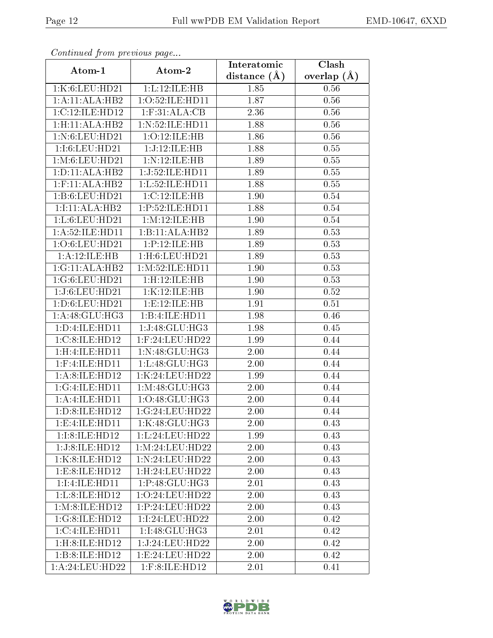| Continuati pont previous page |                                       | Interatomic      | Clash         |  |
|-------------------------------|---------------------------------------|------------------|---------------|--|
| Atom-1                        | Atom-2                                | distance $(\AA)$ | overlap $(A)$ |  |
| 1:K:6:LEU:HD21                | 1:L:12:ILE:HB                         | 1.85             | 0.56          |  |
| 1:A:11:ALA:HB2                | 1:O:52:ILE:HD11                       | 1.87             | 0.56          |  |
| 1: C: 12: ILE: HD12           | $1:$ F:31:ALA: $\overline{\text{CB}}$ | 2.36             | 0.56          |  |
| 1:H:11:ALA:HB2                | 1: N: 52: ILE: HD11                   | 1.88             | 0.56          |  |
| 1: N:6: LEU: HD21             | 1:O:12:ILE:HB                         | 1.86             | 0.56          |  |
| 1:I:6:LEU:HD21                | 1:J:12:ILE:HB                         | 1.88             | 0.55          |  |
| 1: M: 6: LEU: HD21            | 1:N:12:ILE:HB                         | 1.89             | 0.55          |  |
| 1: D: 11: ALA: HB2            | 1:J:52:ILE:HD11                       | 1.89             | 0.55          |  |
| $1:$ F:11:ALA:HB2             | 1:L:52:ILE:HD11                       | 1.88             | 0.55          |  |
| 1:B:6:LEU:HD21                | 1:C:12:ILE:HB                         | 1.90             | 0.54          |  |
| 1:1:1:ALA:HB2                 | 1:P:52:ILE:HD11                       | 1.88             | 0.54          |  |
| 1:L:6:LEU:HD21                | 1:M:12:ILE:HB                         | 1.90             | 0.54          |  |
| 1:A:52:ILE:HD11               | 1:B:11:ALA:HB2                        | 1.89             | 0.53          |  |
| 1:O:6:LEU:HD21                | 1:P:12:ILE:HB                         | 1.89             | 0.53          |  |
| 1:A:12:ILE:HB                 | $1:$ H $:6:$ LEU $:$ HD $21$          | 1.89             | 0.53          |  |
| 1:G:11:ALA:HB2                | 1: M:52: ILE:HD11                     | 1.90             | 0.53          |  |
| 1:G:6:LEU:HD21                | 1:H:12:ILE:HB                         | 1.90             | 0.53          |  |
| 1:J:6:LEU:HD21                | 1:K:12:ILE:HB                         | 1.90             | 0.52          |  |
| 1:D:6:LEU:HD21                | 1:E:12:ILE:HB                         | 1.91             | 0.51          |  |
| 1:A:48:GLU:HG3                | 1:B:4:ILE:HD11                        | 1.98             | 0.46          |  |
| 1:D:4:ILE:HD11                | 1:J:48:GLU:HG3                        | 1.98             | 0.45          |  |
| 1:C:8:ILE:HD12                | $1:$ F:24:LEU:HD22                    | 1.99             | 0.44          |  |
| 1:H:4:ILE:HDI1                | 1:N:48:GLU:HG3                        | 2.00             | 0.44          |  |
| $1:$ F: $4:$ ILE: $HD11$      | 1:L:48:GLU:HG3                        | 2.00             | 0.44          |  |
| 1:A:8:ILE:HD12                | 1:K:24:LEU:HD22                       | 1.99             | 0.44          |  |
| 1:G:4:ILE:HD11                | 1:M:48:GLU:HG3                        | 2.00             | 0.44          |  |
| 1:A:1LE:HD11                  | 1:O:48:GLU:HG3                        | 2.00             | 0.44          |  |
| 1:D:8:ILE:HD12                | 1:G:24:LEU:HD22                       | 2.00             | 0.44          |  |
| 1:E:4:ILE:HD11                | 1:K:48:GLU:HG3                        | 2.00             | 0.43          |  |
| 1:I:8:ILE:HD12                | 1:L:24:LEU:HD22                       | 1.99             | 0.43          |  |
| 1:J:8:ILE:HD12                | 1: M:24:LEU:HD22                      | 2.00             | 0.43          |  |
| 1:K:8:ILE:HD12                | 1:N:24:LEU:HD22                       | 2.00             | $0.43\,$      |  |
| 1:E:8:ILE:HD12                | 1:H:24:LEU:HD22                       | 2.00             | 0.43          |  |
| 1:I:4:ILE:HD11                | 1:P:48:GLU:HG3                        | 2.01             | 0.43          |  |
| 1:L:8:ILE:HD12                | 1:O:24:LEU:HD22                       | 2.00             | 0.43          |  |
| 1: M:8: ILE: HD12             | 1: P:24:LEU:HD22                      | 2.00             | 0.43          |  |
| 1:G:8:ILE:HD12                | 1:I:24:LEU:HD22                       | 2.00             | 0.42          |  |
| 1:C:4:LE:HD11                 | 1:I:48:GLU:HG3                        | 2.01             | 0.42          |  |
| 1:H:8:ILE:HD12                | 1:J:24:LEU:HD22                       | 2.00             | 0.42          |  |
| 1:B:8:ILE:HD12                | 1: E: 24: LEU: HD22                   | 2.00             | 0.42          |  |
| 1:A:24:LEU:HD22               | $1:$ F:8:ILE:HD $12$                  | 2.01             | 0.41          |  |

Continued from previous page.

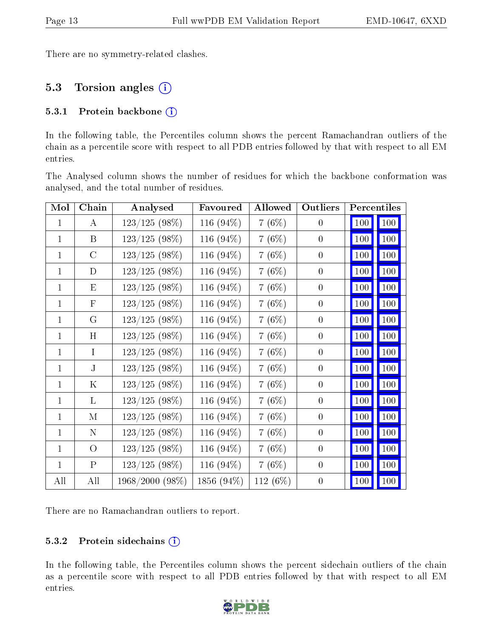There are no symmetry-related clashes.

## 5.3 Torsion angles (i)

#### 5.3.1 Protein backbone (i)

In the following table, the Percentiles column shows the percent Ramachandran outliers of the chain as a percentile score with respect to all PDB entries followed by that with respect to all EM entries.

The Analysed column shows the number of residues for which the backbone conformation was analysed, and the total number of residues.

| Mol          | Chain          | Analysed        | Favoured     | Allowed  | Outliers         |         | Percentiles         |
|--------------|----------------|-----------------|--------------|----------|------------------|---------|---------------------|
| $\mathbf{1}$ | A              | $123/125(98\%)$ | 116 $(94\%)$ | $7(6\%)$ | $\overline{0}$   | 100     | 100                 |
| $\mathbf{1}$ | B              | $123/125(98\%)$ | 116 (94%)    | 7(6%)    | $\boldsymbol{0}$ | 100     | <b>100</b>          |
| $\mathbf{1}$ | $\mathcal{C}$  | $123/125(98\%)$ | 116 (94%)    | $7(6\%)$ | $\theta$         | $100\,$ | 100                 |
| $\mathbf{1}$ | D              | $123/125(98\%)$ | 116 (94%)    | 7(6%)    | $\overline{0}$   | 100     | 100                 |
| $\mathbf{1}$ | E              | $123/125(98\%)$ | 116 (94%)    | 7(6%)    | $\overline{0}$   | $100\,$ | <b>100</b>          |
| 1            | $\mathbf{F}$   | $123/125(98\%)$ | 116 (94%)    | 7(6%)    | $\overline{0}$   | 100     | <b>100</b>          |
| $\mathbf{1}$ | G              | $123/125(98\%)$ | 116 (94%)    | 7(6%)    | $\theta$         | 100     | 100                 |
| $\mathbf{1}$ | H              | $123/125(98\%)$ | 116 (94%)    | 7(6%)    | $\overline{0}$   | 100     | 100                 |
| $\mathbf{1}$ | $\mathbf{I}$   | $123/125(98\%)$ | 116 (94%)    | 7(6%)    | $\overline{0}$   | 100     | 100                 |
| $\mathbf{1}$ | $\bf J$        | $123/125(98\%)$ | 116 (94%)    | 7(6%)    | $\boldsymbol{0}$ | 100     | <b>100</b>          |
| $\mathbf{1}$ | Κ              | $123/125(98\%)$ | 116 (94%)    | 7(6%)    | $\theta$         | 100     | <b>100</b>          |
| $\mathbf{1}$ | L              | $123/125(98\%)$ | 116 (94%)    | 7(6%)    | $\overline{0}$   | 100     | <b>100</b>          |
| $\mathbf{1}$ | M              | $123/125(98\%)$ | 116 (94%)    | 7(6%)    | $\overline{0}$   | 100     | $\vert$ 100 $\vert$ |
| $\mathbf{1}$ | $\mathbf N$    | $123/125(98\%)$ | 116 (94%)    | 7(6%)    | $\overline{0}$   | 100     | 100                 |
| $\mathbf{1}$ | $\overline{O}$ | $123/125(98\%)$ | 116 (94%)    | 7(6%)    | $\theta$         | $100\,$ | 100                 |
| $\mathbf{1}$ | $\mathbf{P}$   | $123/125(98\%)$ | 116 (94%)    | 7(6%)    | $\theta$         | $100\,$ | 100                 |
| All          | All            | 1968/2000 (98%) | 1856 (94%)   | 112 (6%) | $\boldsymbol{0}$ | 100     | 100                 |

There are no Ramachandran outliers to report.

#### 5.3.2 Protein sidechains  $(i)$

In the following table, the Percentiles column shows the percent sidechain outliers of the chain as a percentile score with respect to all PDB entries followed by that with respect to all EM entries.

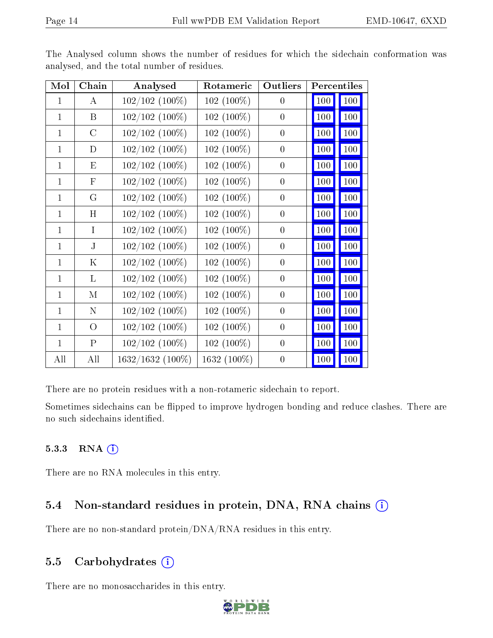| Mol          | Chain            | Analysed            | Rotameric    | Outliers         | Percentiles |            |
|--------------|------------------|---------------------|--------------|------------------|-------------|------------|
| $\mathbf{1}$ | $\bf{A}$         | 102/102 (100%)      | $102(100\%)$ | $\overline{0}$   | 100         | 100        |
| $\mathbf{1}$ | $\boldsymbol{B}$ | $102/102$ $(100\%)$ | $102(100\%)$ | $\overline{0}$   | 100         | <b>100</b> |
| $\mathbf{1}$ | $\mathcal{C}$    | $102/102$ $(100\%)$ | 102 (100%)   | $\overline{0}$   | 100         | 100        |
| 1            | D                | $102/102$ $(100\%)$ | 102 (100%)   | $\boldsymbol{0}$ | 100         | 100        |
| 1            | E                | $102/102$ $(100\%)$ | $102(100\%)$ | $\boldsymbol{0}$ | 100         | 100        |
| $\mathbf{1}$ | $\mathbf F$      | 102/102 (100%)      | $102(100\%)$ | $\overline{0}$   | 100         | 100        |
| $\mathbf{1}$ | G                | $102/102$ $(100\%)$ | $102(100\%)$ | $\theta$         | 100         | <b>100</b> |
| $\mathbf{1}$ | H                | 102/102 (100%)      | 102 (100%)   | $\overline{0}$   | 100         | 100        |
| $\mathbf{1}$ | $\mathbf{I}$     | 102/102 (100%)      | $102(100\%)$ | $\overline{0}$   | 100         | 100        |
| $\mathbf{1}$ | $\mathbf{J}$     | 102/102 (100%)      | $102(100\%)$ | $\theta$         | 100         | 100        |
| $\mathbf{1}$ | $\mathbf K$      | $102/102$ $(100\%)$ | 102 (100%)   | $\overline{0}$   | 100         | 100        |
| $\mathbf{1}$ | $\mathbf{L}$     | $102/102$ $(100\%)$ | $102(100\%)$ | $\overline{0}$   | 100         | 100        |
| $\mathbf{1}$ | M                | $102/102$ $(100\%)$ | 102 (100%)   | $\boldsymbol{0}$ | 100         | 100        |
| $\mathbf{1}$ | $\mathbf N$      | 102/102 (100%)      | 102 (100%)   | $\overline{0}$   | 100         | 100        |
| $\mathbf{1}$ | $\overline{O}$   | $102/102$ $(100\%)$ | 102 (100%)   | $\overline{0}$   | 100         | 100        |
| $\mathbf{1}$ | $\mathbf P$      | $102/102$ (100%)    | 102 (100%)   | $\overline{0}$   | 100         | 100        |
| All          | All              | 1632/1632 (100%)    | 1632 (100%)  | $\overline{0}$   | 100         | 100        |

The Analysed column shows the number of residues for which the sidechain conformation was analysed, and the total number of residues.

There are no protein residues with a non-rotameric sidechain to report.

Sometimes sidechains can be flipped to improve hydrogen bonding and reduce clashes. There are no such sidechains identified.

#### 5.3.3 RNA (i)

There are no RNA molecules in this entry.

### 5.4 Non-standard residues in protein, DNA, RNA chains  $(i)$

There are no non-standard protein/DNA/RNA residues in this entry.

### 5.5 Carbohydrates  $(i)$

There are no monosaccharides in this entry.

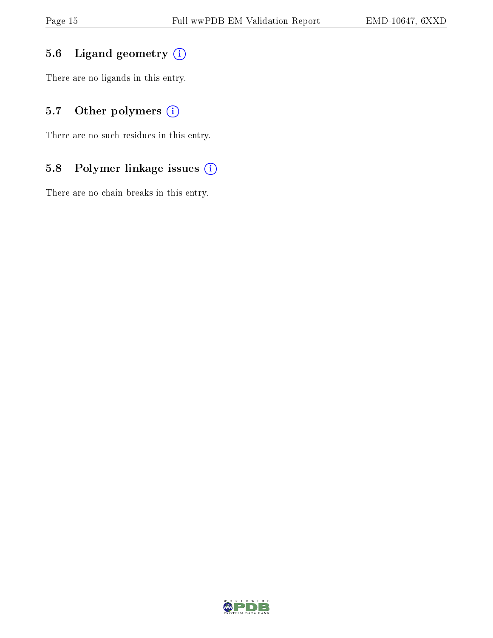### 5.6 Ligand geometry (i)

There are no ligands in this entry.

## 5.7 [O](https://www.wwpdb.org/validation/2017/EMValidationReportHelp#nonstandard_residues_and_ligands)ther polymers (i)

There are no such residues in this entry.

### 5.8 Polymer linkage issues (i)

There are no chain breaks in this entry.

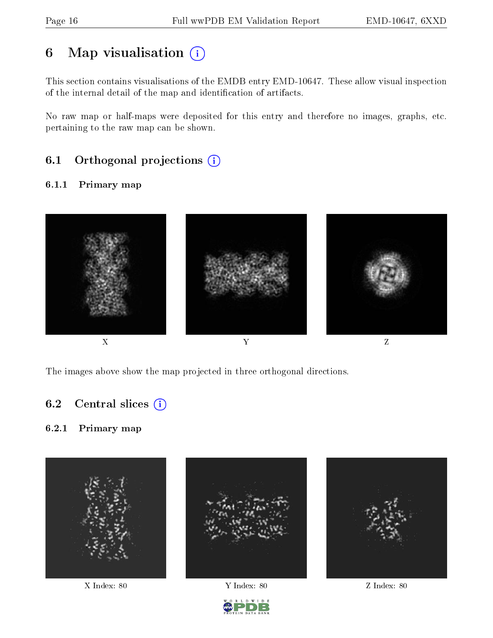# 6 Map visualisation  $(i)$

This section contains visualisations of the EMDB entry EMD-10647. These allow visual inspection of the internal detail of the map and identification of artifacts.

No raw map or half-maps were deposited for this entry and therefore no images, graphs, etc. pertaining to the raw map can be shown.

## 6.1 [O](https://www.wwpdb.org/validation/2017/EMValidationReportHelp#orthogonal_projections)rthogonal projections (i)

#### 6.1.1 Primary map



The images above show the map projected in three orthogonal directions.

#### 6.2 Central slices  $(i)$

#### 6.2.1 Primary map





X Index: 80 Y Index: 80 Z Index: 80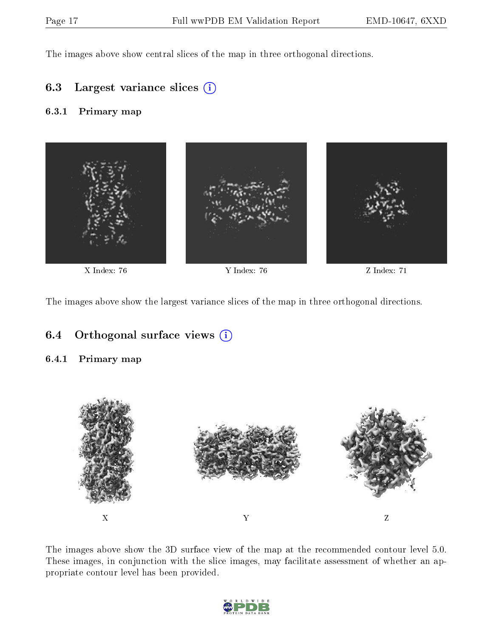The images above show central slices of the map in three orthogonal directions.

#### 6.3 Largest variance slices (i)

#### 6.3.1 Primary map



The images above show the largest variance slices of the map in three orthogonal directions.

#### 6.4 [O](https://www.wwpdb.org/validation/2017/EMValidationReportHelp#orthogonal_views)rthogonal surface views  $(i)$

#### 6.4.1 Primary map



The images above show the 3D surface view of the map at the recommended contour level 5.0. These images, in conjunction with the slice images, may facilitate assessment of whether an appropriate contour level has been provided.

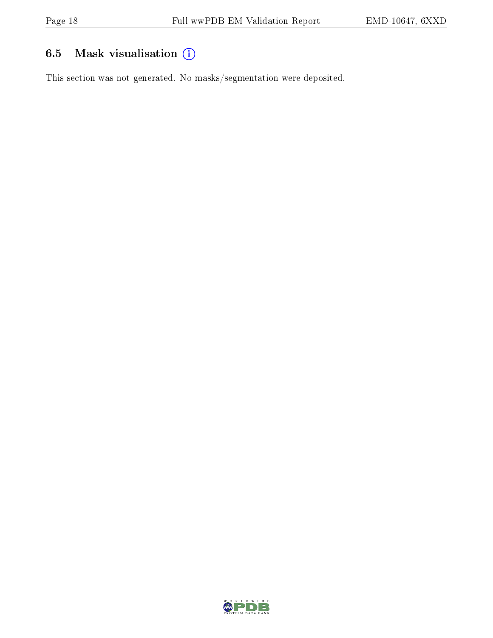## 6.5 Mask visualisation (i)

This section was not generated. No masks/segmentation were deposited.

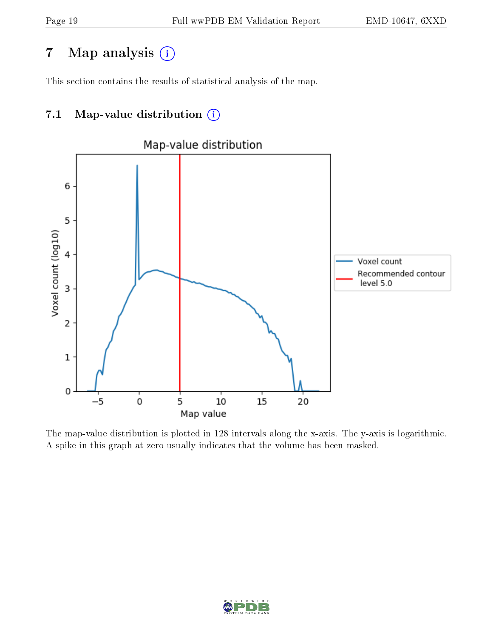# 7 Map analysis (i)

This section contains the results of statistical analysis of the map.

## 7.1 Map-value distribution  $(i)$



The map-value distribution is plotted in 128 intervals along the x-axis. The y-axis is logarithmic. A spike in this graph at zero usually indicates that the volume has been masked.

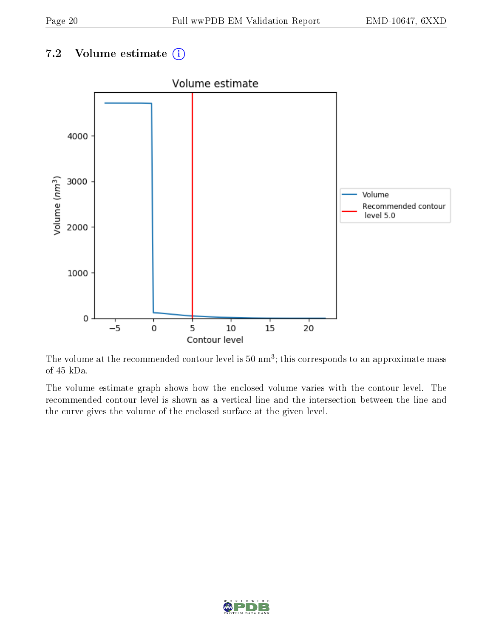### 7.2 Volume estimate  $(i)$



The volume at the recommended contour level is  $50 \text{ nm}^3$ ; this corresponds to an approximate mass of 45 kDa.

The volume estimate graph shows how the enclosed volume varies with the contour level. The recommended contour level is shown as a vertical line and the intersection between the line and the curve gives the volume of the enclosed surface at the given level.

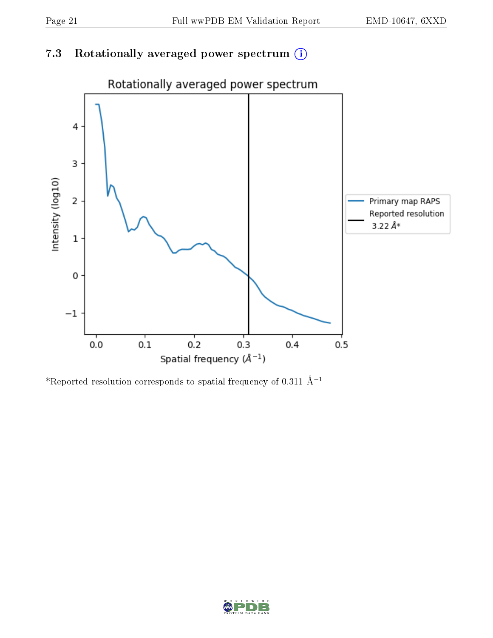## 7.3 Rotationally averaged power spectrum (i)



\*Reported resolution corresponds to spatial frequency of 0.311 Å<sup>-1</sup>

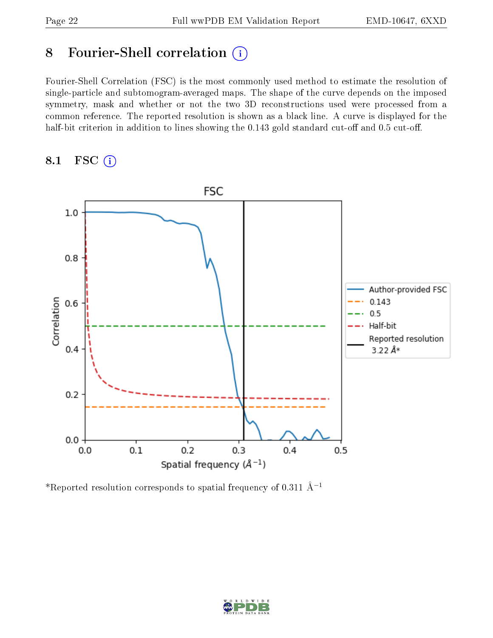# 8 Fourier-Shell correlation (i)

Fourier-Shell Correlation (FSC) is the most commonly used method to estimate the resolution of single-particle and subtomogram-averaged maps. The shape of the curve depends on the imposed symmetry, mask and whether or not the two 3D reconstructions used were processed from a common reference. The reported resolution is shown as a black line. A curve is displayed for the half-bit criterion in addition to lines showing the  $0.143$  gold standard cut-off and  $0.5$  cut-off.

#### 8.1 FSC (i)



\*Reported resolution corresponds to spatial frequency of 0.311 Å<sup>-1</sup>

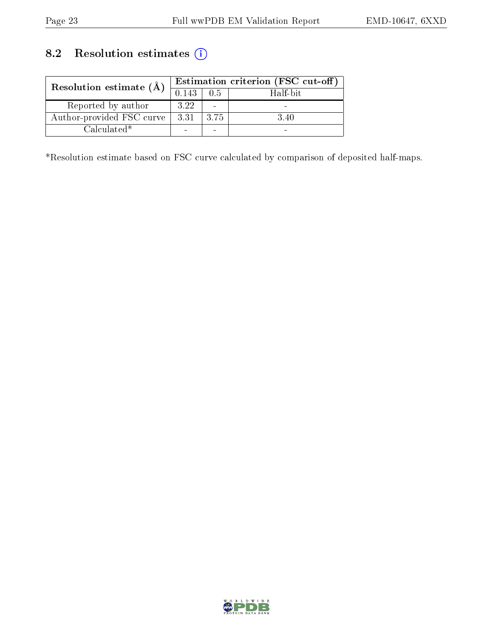## 8.2 Resolution estimates (i)

| Resolution estimate $(\AA)$ | Estimation criterion (FSC cut-off) |                          |          |
|-----------------------------|------------------------------------|--------------------------|----------|
|                             | 0.143                              | 0.5                      | Half-bit |
| Reported by author          | 3.22                               | $\overline{\phantom{0}}$ |          |
| Author-provided FSC curve   | 3.31                               | 3.75                     | 3.40     |
| $Calculated*$               |                                    | -                        |          |

\*Resolution estimate based on FSC curve calculated by comparison of deposited half-maps.

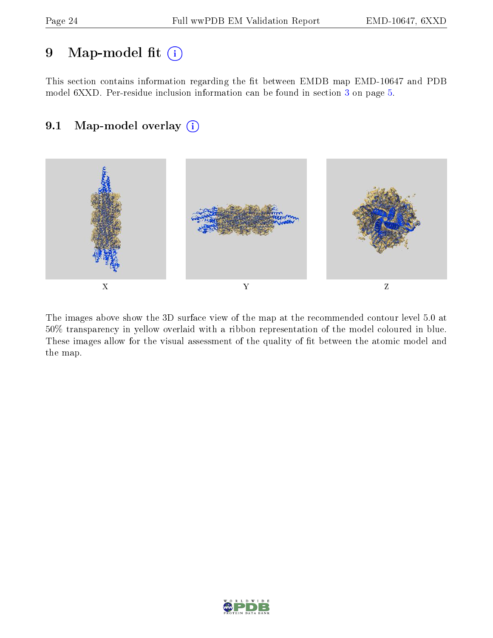# 9 Map-model fit  $(i)$

This section contains information regarding the fit between EMDB map EMD-10647 and PDB model 6XXD. Per-residue inclusion information can be found in section [3](#page-4-0) on page [5.](#page-4-0)

### 9.1 Map-model overlay (i)



The images above show the 3D surface view of the map at the recommended contour level 5.0 at 50% transparency in yellow overlaid with a ribbon representation of the model coloured in blue. These images allow for the visual assessment of the quality of fit between the atomic model and the map.